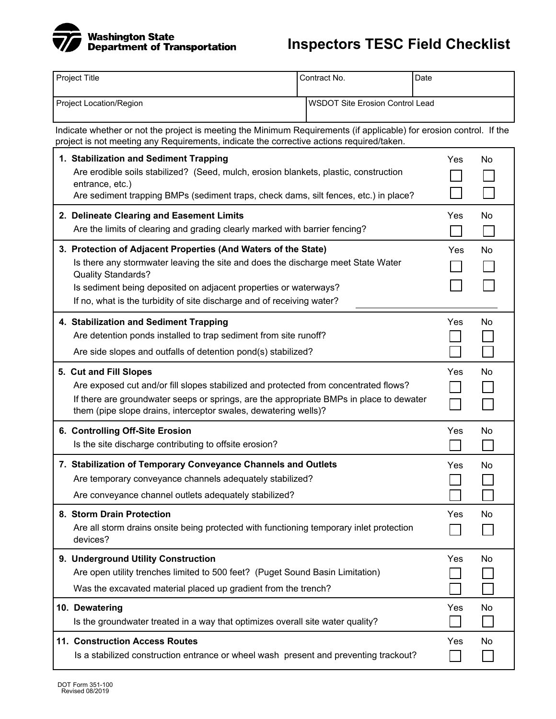

| Project Title                                                                                                                                                                                                   |                                                                                                                                                                                                                                                                                                                               | Contract No.                           | Date |            |           |  |
|-----------------------------------------------------------------------------------------------------------------------------------------------------------------------------------------------------------------|-------------------------------------------------------------------------------------------------------------------------------------------------------------------------------------------------------------------------------------------------------------------------------------------------------------------------------|----------------------------------------|------|------------|-----------|--|
| Project Location/Region                                                                                                                                                                                         |                                                                                                                                                                                                                                                                                                                               | <b>WSDOT Site Erosion Control Lead</b> |      |            |           |  |
| Indicate whether or not the project is meeting the Minimum Requirements (if applicable) for erosion control. If the<br>project is not meeting any Requirements, indicate the corrective actions required/taken. |                                                                                                                                                                                                                                                                                                                               |                                        |      |            |           |  |
|                                                                                                                                                                                                                 | 1. Stabilization and Sediment Trapping<br>Are erodible soils stabilized? (Seed, mulch, erosion blankets, plastic, construction<br>entrance, etc.)<br>Are sediment trapping BMPs (sediment traps, check dams, silt fences, etc.) in place?                                                                                     |                                        |      | <b>Yes</b> | <b>No</b> |  |
|                                                                                                                                                                                                                 | 2. Delineate Clearing and Easement Limits<br>Are the limits of clearing and grading clearly marked with barrier fencing?                                                                                                                                                                                                      |                                        |      | Yes        | No        |  |
|                                                                                                                                                                                                                 | 3. Protection of Adjacent Properties (And Waters of the State)<br>Is there any stormwater leaving the site and does the discharge meet State Water<br><b>Quality Standards?</b><br>Is sediment being deposited on adjacent properties or waterways?<br>If no, what is the turbidity of site discharge and of receiving water? |                                        |      | Yes        | No        |  |
|                                                                                                                                                                                                                 | 4. Stabilization and Sediment Trapping<br>Are detention ponds installed to trap sediment from site runoff?<br>Are side slopes and outfalls of detention pond(s) stabilized?                                                                                                                                                   |                                        |      | Yes        | No        |  |
|                                                                                                                                                                                                                 | 5. Cut and Fill Slopes<br>Are exposed cut and/or fill slopes stabilized and protected from concentrated flows?<br>If there are groundwater seeps or springs, are the appropriate BMPs in place to dewater<br>them (pipe slope drains, interceptor swales, dewatering wells)?                                                  |                                        |      | Yes        | No        |  |
|                                                                                                                                                                                                                 | 6. Controlling Off-Site Erosion<br>Is the site discharge contributing to offsite erosion?                                                                                                                                                                                                                                     |                                        |      | Yes        | No        |  |
|                                                                                                                                                                                                                 | 7. Stabilization of Temporary Conveyance Channels and Outlets<br>Are temporary conveyance channels adequately stabilized?<br>Are conveyance channel outlets adequately stabilized?                                                                                                                                            |                                        |      | Yes<br>l 1 | No        |  |
|                                                                                                                                                                                                                 | 8. Storm Drain Protection<br>Are all storm drains onsite being protected with functioning temporary inlet protection<br>devices?                                                                                                                                                                                              |                                        |      | Yes        | No        |  |
|                                                                                                                                                                                                                 | 9. Underground Utility Construction<br>Are open utility trenches limited to 500 feet? (Puget Sound Basin Limitation)<br>Was the excavated material placed up gradient from the trench?                                                                                                                                        |                                        |      | Yes        | No        |  |
|                                                                                                                                                                                                                 | 10. Dewatering<br>Is the groundwater treated in a way that optimizes overall site water quality?                                                                                                                                                                                                                              |                                        |      | Yes        | No        |  |
|                                                                                                                                                                                                                 | <b>11. Construction Access Routes</b><br>Is a stabilized construction entrance or wheel wash present and preventing trackout?                                                                                                                                                                                                 |                                        |      | Yes        | No        |  |